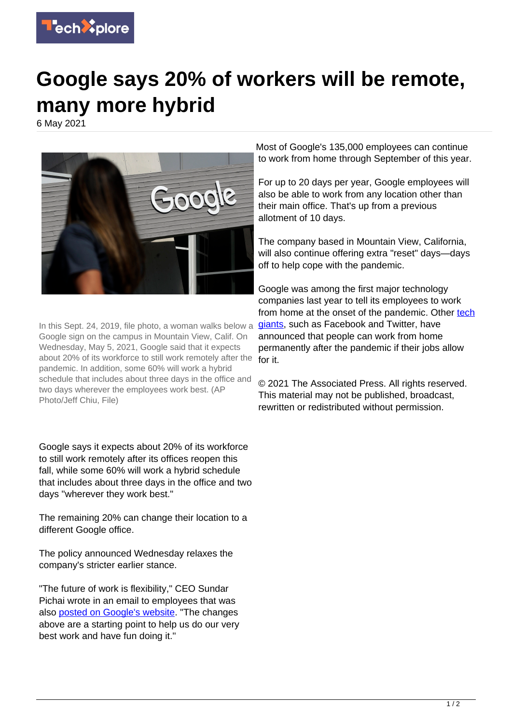

## **Google says 20% of workers will be remote, many more hybrid**

6 May 2021



In this Sept. 24, 2019, file photo, a woman walks below a Google sign on the campus in Mountain View, Calif. On Wednesday, May 5, 2021, Google said that it expects about 20% of its workforce to still work remotely after the pandemic. In addition, some 60% will work a hybrid schedule that includes about three days in the office and two days wherever the employees work best. (AP Photo/Jeff Chiu, File)

Google says it expects about 20% of its workforce to still work remotely after its offices reopen this fall, while some 60% will work a hybrid schedule that includes about three days in the office and two days "wherever they work best."

The remaining 20% can change their location to a different Google office.

The policy announced Wednesday relaxes the company's stricter earlier stance.

"The future of work is flexibility," CEO Sundar Pichai wrote in an email to employees that was also [posted on Google's website](https://blog.google/inside-google/life-at-google/hybrid-approach-work/). "The changes above are a starting point to help us do our very best work and have fun doing it."

Most of Google's 135,000 employees can continue to work from home through September of this year.

For up to 20 days per year, Google employees will also be able to work from any location other than their main office. That's up from a previous allotment of 10 days.

The company based in Mountain View, California, will also continue offering extra "reset" days—days off to help cope with the pandemic.

Google was among the first major technology companies last year to tell its employees to work from home at the onset of the pandemic. Other [tech](https://techxplore.com/tags/tech+giants/) [giants,](https://techxplore.com/tags/tech+giants/) such as Facebook and Twitter, have announced that people can work from home permanently after the pandemic if their jobs allow for it.

© 2021 The Associated Press. All rights reserved. This material may not be published, broadcast, rewritten or redistributed without permission.